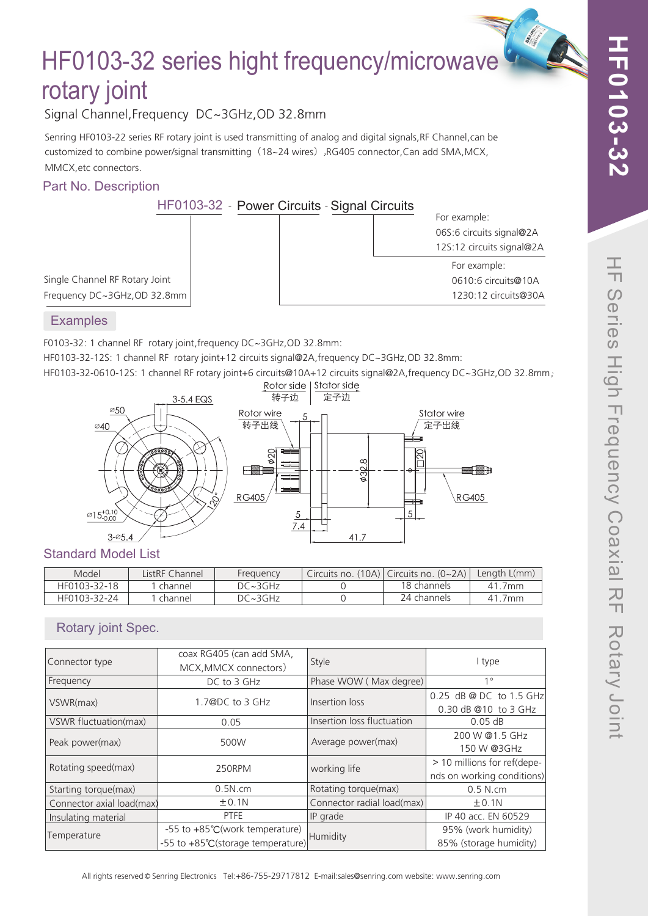**CALL AND** 

# HF0103-32 series hight frequency/microwave rotary joint

Signal Channel,Frequency DC~3GHz,OD 32.8mm

Senring HF0103-22 series RF rotary joint is used transmitting of analog and digital signals,RF Channel,can be customized to combine power/signal transmitting (18~24 wires),RG405 connector,Can add SMA,MCX, MMCX,etc connectors.

### Part No. Description

HF0103-32 - Power Circuits - Signal Circuits

| $100-02 = 1$ Owell Offication Signal Officatio |                           |
|------------------------------------------------|---------------------------|
|                                                | For example:              |
|                                                | 06S:6 circuits signal@2A  |
|                                                | 12S:12 circuits signal@2A |
|                                                | For example:              |
|                                                | 0610:6 circuits@10A       |
|                                                | 1230:12 circuits@30A      |
|                                                |                           |

Single Channel RF Rotary Joint Frequency DC~3GHz,OD 32.8mm

#### **Examples**

F0103-32: 1 channel RF rotary joint,frequency DC~3GHz,OD 32.8mm:

HF0103-32-12S: 1 channel RF rotary joint+12 circuits signal@2A,frequency DC~3GHz,OD 32.8mm:



## Standard Model List

| Model        | ListRF Channel | Frequency      | Circuits no. $(10A)$ Circuits no. $(0~2A)$ | Length L(mm) |
|--------------|----------------|----------------|--------------------------------------------|--------------|
| HF0103-32-18 | channel        | $DC \sim 3GHz$ | 18 channels                                | . . 7mm      |
| HF0103-32-24 | channel        | $DC \sim 3GHz$ | 24 channels                                | 41.7mm       |

# Rotary joint Spec.

| Connector type            | coax RG405 (can add SMA,<br>MCX, MMCX connectors)                   | Style                      | I type                                                    |  |  |
|---------------------------|---------------------------------------------------------------------|----------------------------|-----------------------------------------------------------|--|--|
| Frequency                 | DC to 3 GHz                                                         | Phase WOW (Max degree)     | $1^{\circ}$                                               |  |  |
| VSWR(max)                 | 1.7@DC to 3 GHz                                                     | Insertion loss             | 0.25 dB @ DC to 1.5 GHz<br>0.30 dB @10 to 3 GHz           |  |  |
| VSWR fluctuation(max)     | 0.05                                                                | Insertion loss fluctuation | $0.05$ dB                                                 |  |  |
| Peak power(max)           | 500W                                                                | Average power(max)         | 200 W @1.5 GHz<br>150 W @3GHz                             |  |  |
| Rotating speed(max)       | 250RPM                                                              | working life               | > 10 millions for ref(depe-<br>nds on working conditions) |  |  |
| Starting torque(max)      | 0.5N.cm                                                             | Rotating torque(max)       | 0.5 N.cm                                                  |  |  |
| Connector axial load(max) | ±0.1N                                                               | Connector radial load(max) | ±0.1N                                                     |  |  |
| Insulating material       | <b>PTFE</b>                                                         | IP grade                   | IP 40 acc. EN 60529                                       |  |  |
| Temperature               | -55 to +85°C(work temperature)<br>-55 to +85°C(storage temperature) | Humidity                   | 95% (work humidity)<br>85% (storage humidity)             |  |  |

 $\rightarrow$ 

All rights reserved © Senring Electronics Tel:+86-755-29717812 E-mail:sales@senring.com website: www.senring.com